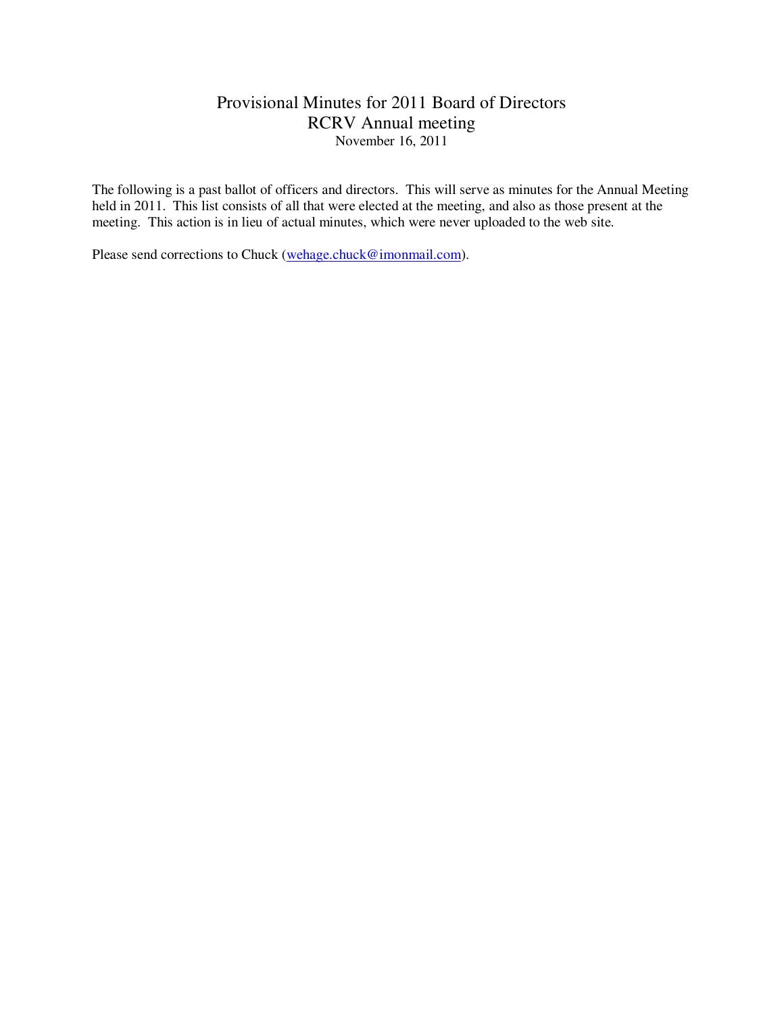## Provisional Minutes for 2011 Board of Directors RCRV Annual meeting November 16, 2011

The following is a past ballot of officers and directors. This will serve as minutes for the Annual Meeting held in 2011. This list consists of all that were elected at the meeting, and also as those present at the meeting. This action is in lieu of actual minutes, which were never uploaded to the web site.

Please send corrections to Chuck (wehage.chuck@imonmail.com).